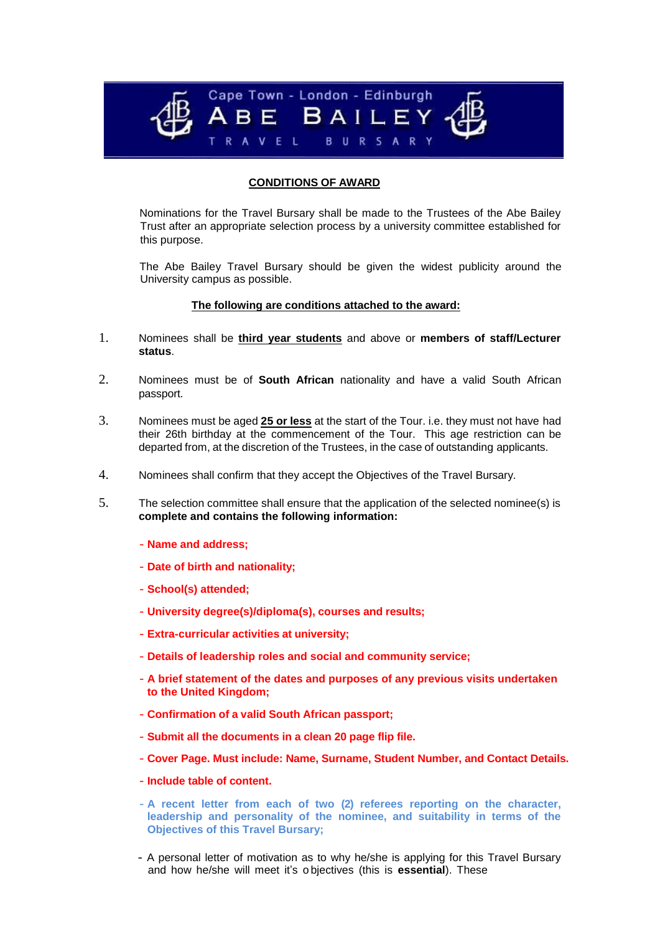

# **CONDITIONS OF AWARD**

Nominations for the Travel Bursary shall be made to the Trustees of the Abe Bailey Trust after an appropriate selection process by a university committee established for this purpose.

The Abe Bailey Travel Bursary should be given the widest publicity around the University campus as possible.

#### **The following are conditions attached to the award:**

- 1. Nominees shall be **third year students** and above or **members of staff/Lecturer status**.
- 2. Nominees must be of **South African** nationality and have a valid South African passport.
- 3. Nominees must be aged **25 or less** at the start of the Tour. i.e. they must not have had their 26th birthday at the commencement of the Tour. This age restriction can be departed from, at the discretion of the Trustees, in the case of outstanding applicants.
- 4. Nominees shall confirm that they accept the Objectives of the Travel Bursary.
- 5. The selection committee shall ensure that the application of the selected nominee(s) is **complete and contains the following information:**
	- **Name and address;**
	- **Date of birth and nationality;**
	- **School(s) attended;**
	- **University degree(s)/diploma(s), courses and results;**
	- **Extra-curricular activities at university;**
	- **Details of leadership roles and social and community service;**
	- **A brief statement of the dates and purposes of any previous visits undertaken to the United Kingdom;**
	- **Confirmation of a valid South African passport;**
	- **Submit all the documents in a clean 20 page flip file.**
	- **Cover Page. Must include: Name, Surname, Student Number, and Contact Details.**
	- **Include table of content.**
	- **A recent letter from each of two (2) referees reporting on the character, leadership and personality of the nominee, and suitability in terms of the Objectives of this Travel Bursary;**
	- A personal letter of motivation as to why he/she is applying for this Travel Bursary and how he/she will meet it's o bjectives (this is **essential**). These